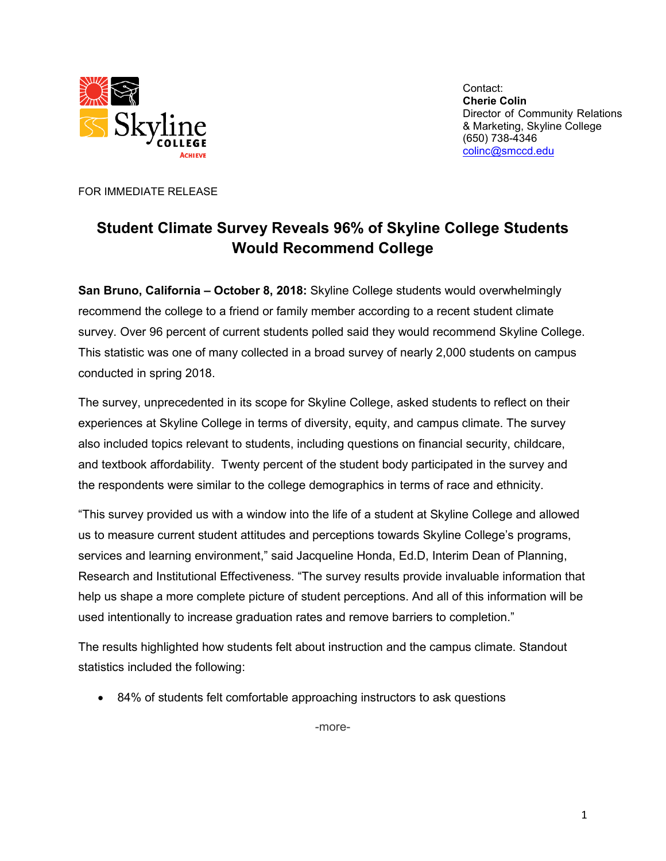

Contact: **Cherie Colin** Director of Community Relations & Marketing, Skyline College (650) 738-4346 [colinc@smccd.edu](mailto:colinc@smccd.edu)

FOR IMMEDIATE RELEASE

## **Student Climate Survey Reveals 96% of Skyline College Students Would Recommend College**

**San Bruno, California – October 8, 2018:** Skyline College students would overwhelmingly recommend the college to a friend or family member according to a recent student climate survey. Over 96 percent of current students polled said they would recommend Skyline College. This statistic was one of many collected in a broad survey of nearly 2,000 students on campus conducted in spring 2018.

The survey, unprecedented in its scope for Skyline College, asked students to reflect on their experiences at Skyline College in terms of diversity, equity, and campus climate. The survey also included topics relevant to students, including questions on financial security, childcare, and textbook affordability. Twenty percent of the student body participated in the survey and the respondents were similar to the college demographics in terms of race and ethnicity.

"This survey provided us with a window into the life of a student at Skyline College and allowed us to measure current student attitudes and perceptions towards Skyline College's programs, services and learning environment," said Jacqueline Honda, Ed.D, Interim Dean of Planning, Research and Institutional Effectiveness. "The survey results provide invaluable information that help us shape a more complete picture of student perceptions. And all of this information will be used intentionally to increase graduation rates and remove barriers to completion."

The results highlighted how students felt about instruction and the campus climate. Standout statistics included the following:

• 84% of students felt comfortable approaching instructors to ask questions

-more-